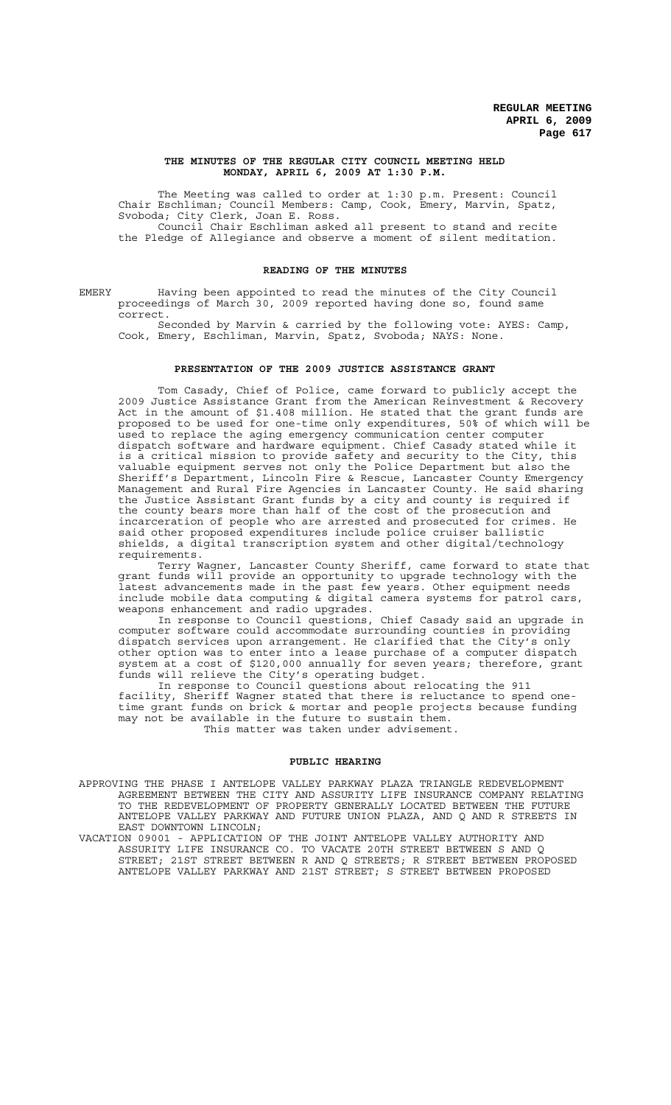### **THE MINUTES OF THE REGULAR CITY COUNCIL MEETING HELD MONDAY, APRIL 6, 2009 AT 1:30 P.M.**

The Meeting was called to order at 1:30 p.m. Present: Council Chair Eschliman; Council Members: Camp, Cook, Emery, Marvin, Spatz, Svoboda; City Clerk, Joan E. Ross. Council Chair Eschliman asked all present to stand and recite

the Pledge of Allegiance and observe a moment of silent meditation.

# **READING OF THE MINUTES**

EMERY Having been appointed to read the minutes of the City Council proceedings of March 30, 2009 reported having done so, found same correct.

Seconded by Marvin & carried by the following vote: AYES: Camp, Cook, Emery, Eschliman, Marvin, Spatz, Svoboda; NAYS: None.

## **PRESENTATION OF THE 2009 JUSTICE ASSISTANCE GRANT**

Tom Casady, Chief of Police, came forward to publicly accept the 2009 Justice Assistance Grant from the American Reinvestment & Recovery Act in the amount of \$1.408 million. He stated that the grant funds are proposed to be used for one-time only expenditures, 50% of which will be used to replace the aging emergency communication center computer dispatch software and hardware equipment. Chief Casady stated while it is a critical mission to provide safety and security to the City, this valuable equipment serves not only the Police Department but also the Sheriff's Department, Lincoln Fire & Rescue, Lancaster County Emergency Management and Rural Fire Agencies in Lancaster County. He said sharing the Justice Assistant Grant funds by a city and county is required if the county bears more than half of the cost of the prosecution and incarceration of people who are arrested and prosecuted for crimes. He said other proposed expenditures include police cruiser ballistic shields, a digital transcription system and other digital/technology requirements.

Terry Wagner, Lancaster County Sheriff, came forward to state that grant funds will provide an opportunity to upgrade technology with the latest advancements made in the past few years. Other equipment needs include mobile data computing & digital camera systems for patrol cars, weapons enhancement and radio upgrades.

In response to Council questions, Chief Casady said an upgrade in computer software could accommodate surrounding counties in providing dispatch services upon arrangement. He clarified that the City's only other option was to enter into a lease purchase of a computer dispatch system at a cost of \$120,000 annually for seven years; therefore, grant funds will relieve the City's operating budget.

In response to Council questions about relocating the 911 facility, Sheriff Wagner stated that there is reluctance to spend onetime grant funds on brick & mortar and people projects because funding may not be available in the future to sustain them. This matter was taken under advisement.

### **PUBLIC HEARING**

APPROVING THE PHASE I ANTELOPE VALLEY PARKWAY PLAZA TRIANGLE REDEVELOPMENT AGREEMENT BETWEEN THE CITY AND ASSURITY LIFE INSURANCE COMPANY RELATING TO THE REDEVELOPMENT OF PROPERTY GENERALLY LOCATED BETWEEN THE FUTURE ANTELOPE VALLEY PARKWAY AND FUTURE UNION PLAZA, AND Q AND R STREETS IN EAST DOWNTOWN LINCOLN;

VACATION 09001 - APPLICATION OF THE JOINT ANTELOPE VALLEY AUTHORITY AND ASSURITY LIFE INSURANCE CO. TO VACATE 20TH STREET BETWEEN S AND Q STREET; 21ST STREET BETWEEN R AND Q STREETS; R STREET BETWEEN PROPOSED ANTELOPE VALLEY PARKWAY AND 21ST STREET; S STREET BETWEEN PROPOSED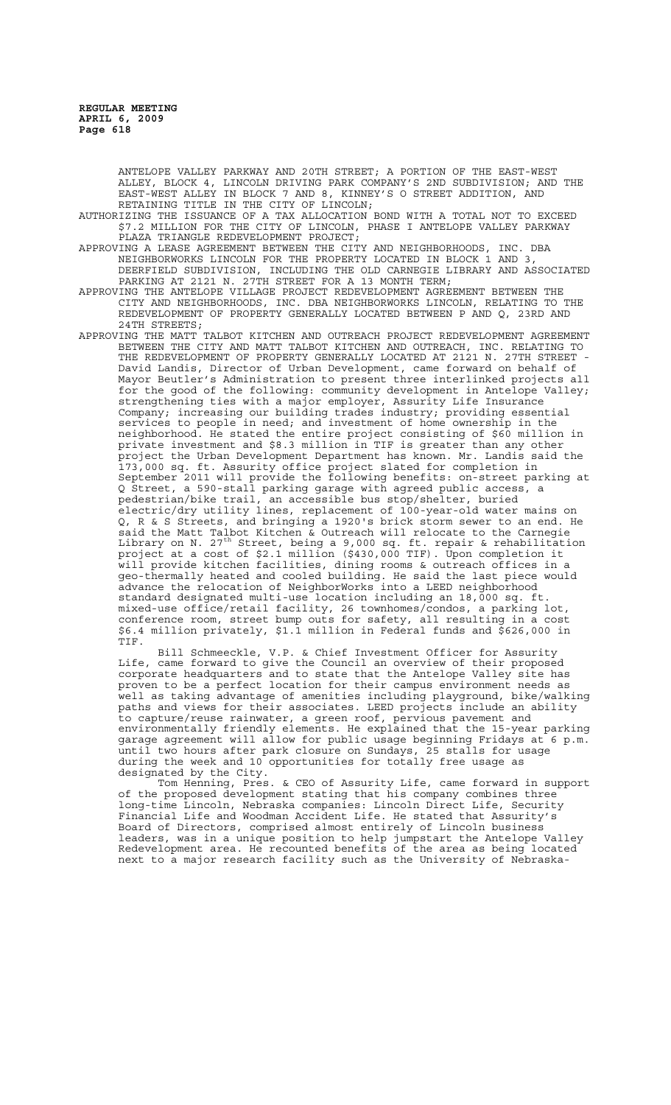> ANTELOPE VALLEY PARKWAY AND 20TH STREET; A PORTION OF THE EAST-WEST ALLEY, BLOCK 4, LINCOLN DRIVING PARK COMPANY'S 2ND SUBDIVISION; AND THE EAST-WEST ALLEY IN BLOCK 7 AND 8, KINNEY'S O STREET ADDITION, AND RETAINING TITLE IN THE CITY OF LINCOLN;

AUTHORIZING THE ISSUANCE OF A TAX ALLOCATION BOND WITH A TOTAL NOT TO EXCEED \$7.2 MILLION FOR THE CITY OF LINCOLN, PHASE I ANTELOPE VALLEY PARKWAY PLAZA TRIANGLE REDEVELOPMENT PROJECT;

APPROVING A LEASE AGREEMENT BETWEEN THE CITY AND NEIGHBORHOODS, INC. DBA NEIGHBORWORKS LINCOLN FOR THE PROPERTY LOCATED IN BLOCK 1 AND 3, DEERFIELD SUBDIVISION, INCLUDING THE OLD CARNEGIE LIBRARY AND ASSOCIATED PARKING AT 2121 N. 27TH STREET FOR A 13 MONTH TERM;

APPROVING THE ANTELOPE VILLAGE PROJECT REDEVELOPMENT AGREEMENT BETWEEN THE CITY AND NEIGHBORHOODS, INC. DBA NEIGHBORWORKS LINCOLN, RELATING TO THE REDEVELOPMENT OF PROPERTY GENERALLY LOCATED BETWEEN P AND Q, 23RD AND 24TH STREETS;

APPROVING THE MATT TALBOT KITCHEN AND OUTREACH PROJECT REDEVELOPMENT AGREEMENT BETWEEN THE CITY AND MATT TALBOT KITCHEN AND OUTREACH, INC. RELATING TO THE REDEVELOPMENT OF PROPERTY GENERALLY LOCATED AT 2121 N. 27TH STREET - David Landis, Director of Urban Development, came forward on behalf of Mayor Beutler's Administration to present three interlinked projects all for the good of the following: community development in Antelope Valley; strengthening ties with a major employer, Assurity Life Insurance Company; increasing our building trades industry; providing essential services to people in need; and investment of home ownership in the neighborhood. He stated the entire project consisting of \$60 million in private investment and \$8.3 million in TIF is greater than any other project the Urban Development Department has known. Mr. Landis said the 173,000 sq. ft. Assurity office project slated for completion in September 2011 will provide the following benefits: on-street parking at Q Street, a 590-stall parking garage with agreed public access, a pedestrian/bike trail, an accessible bus stop/shelter, buried electric/dry utility lines, replacement of 100-year-old water mains on Q, R & S Streets, and bringing a 1920's brick storm sewer to an end. He said the Matt Talbot Kitchen & Outreach will relocate to the Carnegie Library on N. 27<sup>th</sup> Street, being a 9,000 sq. ft. repair & rehabilitation project at a cost of \$2.1 million (\$430,000 TIF). Upon completion it will provide kitchen facilities, dining rooms & outreach offices in a geo-thermally heated and cooled building. He said the last piece would advance the relocation of NeighborWorks into a LEED neighborhood standard designated multi-use location including an 18,000 sq. ft. mixed-use office/retail facility, 26 townhomes/condos, a parking lot, conference room, street bump outs for safety, all resulting in a cost \$6.4 million privately, \$1.1 million in Federal funds and \$626,000 in TIF.

Bill Schmeeckle, V.P. & Chief Investment Officer for Assurity Life, came forward to give the Council an overview of their proposed corporate headquarters and to state that the Antelope Valley site has proven to be a perfect location for their campus environment needs as well as taking advantage of amenities including playground, bike/walking paths and views for their associates. LEED projects include an ability .<br>to capture/reuse rainwater, a green roof, pervious pavement and environmentally friendly elements. He explained that the 15-year parking garage agreement will allow for public usage beginning Fridays at 6 p.m. until two hours after park closure on Sundays, 25 stalls for usage during the week and 10 opportunities for totally free usage as designated by the City.

Tom Henning, Pres. & CEO of Assurity Life, came forward in support of the proposed development stating that his company combines three long-time Lincoln, Nebraska companies: Lincoln Direct Life, Security Financial Life and Woodman Accident Life. He stated that Assurity's Board of Directors, comprised almost entirely of Lincoln business leaders, was in a unique position to help jumpstart the Antelope Valley Redevelopment area. He recounted benefits of the area as being located next to a major research facility such as the University of Nebraska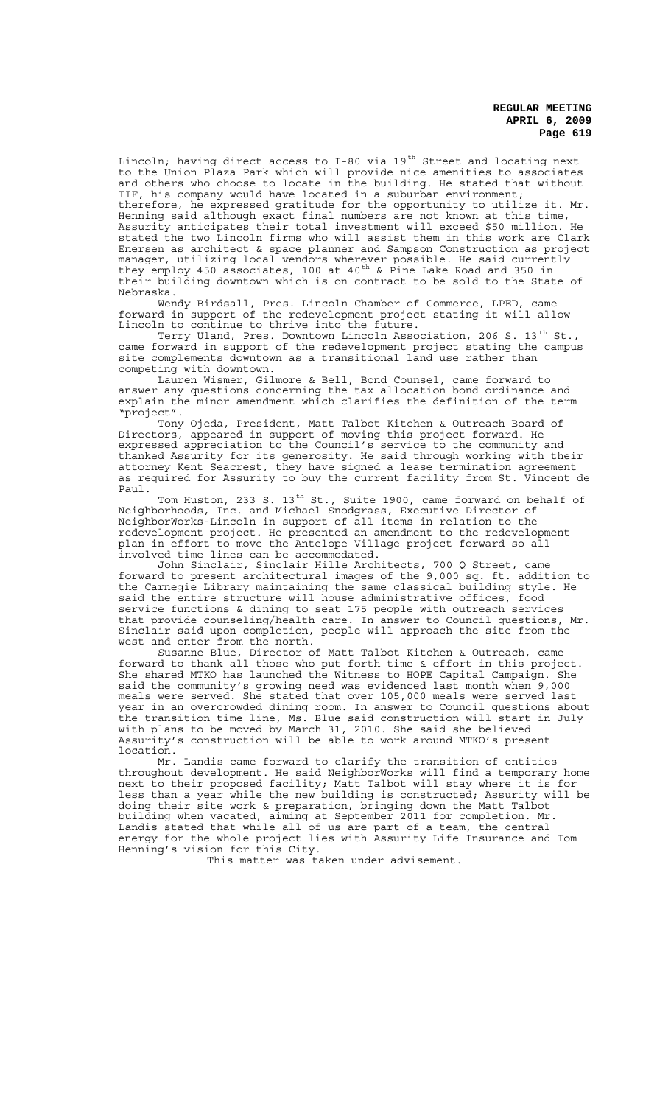Lincoln; having direct access to I-80 via  $19^{th}$  Street and locating next to the Union Plaza Park which will provide nice amenities to associates and others who choose to locate in the building. He stated that without TIF, his company would have located in a suburban environment; therefore, he expressed gratitude for the opportunity to utilize it. Mr. Henning said although exact final numbers are not known at this time, Assurity anticipates their total investment will exceed \$50 million. He stated the two Lincoln firms who will assist them in this work are Clark Enersen as architect & space planner and Sampson Construction as project manager, utilizing local vendors wherever possible. He said currently they employ 450 associates, 100 at 40<sup>th</sup> & Pine Lake Road and 350 in their building downtown which is on contract to be sold to the State of Nebraska.

Wendy Birdsall, Pres. Lincoln Chamber of Commerce, LPED, came forward in support of the redevelopment project stating it will allow Lincoln to continue to thrive into the future.

Terry Uland, Pres. Downtown Lincoln Association, 206 S. 13 $^{\rm th}$  St., came forward in support of the redevelopment project stating the campus site complements downtown as a transitional land use rather than competing with downtown.

Lauren Wismer, Gilmore & Bell, Bond Counsel, came forward to answer any questions concerning the tax allocation bond ordinance and explain the minor amendment which clarifies the definition of the term "project".

Tony Ojeda, President, Matt Talbot Kitchen & Outreach Board of Directors, appeared in support of moving this project forward. He expressed appreciation to the Council's service to the community and thanked Assurity for its generosity. He said through working with their attorney Kent Seacrest, they have signed a lease termination agreement as required for Assurity to buy the current facility from St. Vincent de Paul.

Tom Huston, 233 S. 13<sup>th</sup> St., Suite 1900, came forward on behalf of Neighborhoods, Inc. and Michael Snodgrass, Executive Director of NeighborWorks-Lincoln in support of all items in relation to the redevelopment project. He presented an amendment to the redevelopment plan in effort to move the Antelope Village project forward so all involved time lines can be accommodated.

John Sinclair, Sinclair Hille Architects, 700 Q Street, came forward to present architectural images of the 9,000 sq. ft. addition to the Carnegie Library maintaining the same classical building style. He said the entire structure will house administrative offices, food service functions & dining to seat 175 people with outreach services that provide counseling/health care. In answer to Council questions, Mr. Sinclair said upon completion, people will approach the site from the west and enter from the north.

Susanne Blue, Director of Matt Talbot Kitchen & Outreach, came forward to thank all those who put forth time & effort in this project. She shared MTKO has launched the Witness to HOPE Capital Campaign. She said the community's growing need was evidenced last month when 9,000 meals were served. She stated that over 105,000 meals were served last year in an overcrowded dining room. In answer to Council questions about the transition time line, Ms. Blue said construction will start in July with plans to be moved by March 31, 2010. She said she believed Assurity's construction will be able to work around MTKO's present location.

Mr. Landis came forward to clarify the transition of entities throughout development. He said NeighborWorks will find a temporary home next to their proposed facility; Matt Talbot will stay where it is for less than a year while the new building is constructed; Assurity will be doing their site work & preparation, bringing down the Matt Talbot building when vacated, aiming at September 2011 for completion. Mr. Landis stated that while all of us are part of a team, the central energy for the whole project lies with Assurity Life Insurance and Tom Henning's vision for this City.

This matter was taken under advisement.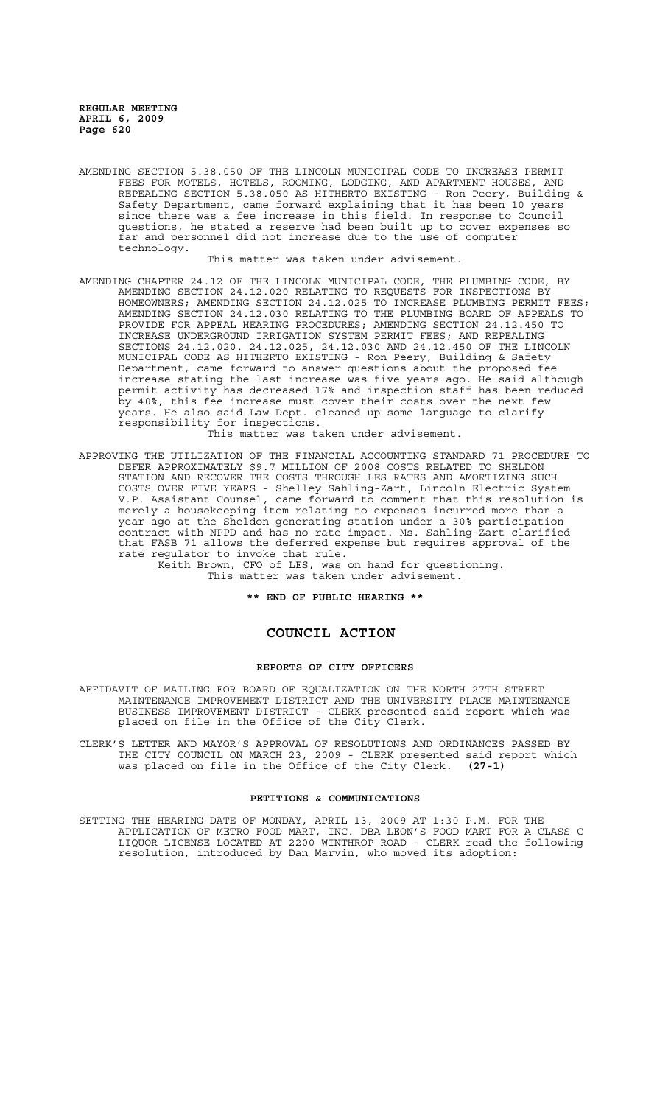AMENDING SECTION 5.38.050 OF THE LINCOLN MUNICIPAL CODE TO INCREASE PERMIT FEES FOR MOTELS, HOTELS, ROOMING, LODGING, AND APARTMENT HOUSES, AND REPEALING SECTION 5.38.050 AS HITHERTO EXISTING - Ron Peery, Building & Safety Department, came forward explaining that it has been 10 years since there was a fee increase in this field. In response to Council questions, he stated a reserve had been built up to cover expenses so far and personnel did not increase due to the use of computer technology.

This matter was taken under advisement.

- AMENDING CHAPTER 24.12 OF THE LINCOLN MUNICIPAL CODE, THE PLUMBING CODE, BY AMENDING SECTION 24.12.020 RELATING TO REQUESTS FOR INSPECTIONS BY HOMEOWNERS; AMENDING SECTION 24.12.025 TO INCREASE PLUMBING PERMIT FEES; AMENDING SECTION 24.12.030 RELATING TO THE PLUMBING BOARD OF APPEALS TO PROVIDE FOR APPEAL HEARING PROCEDURES; AMENDING SECTION 24.12.450 TO INCREASE UNDERGROUND IRRIGATION SYSTEM PERMIT FEES; AND REPEALING SECTIONS 24.12.020. 24.12.025, 24.12.030 AND 24.12.450 OF THE LINCOLN MUNICIPAL CODE AS HITHERTO EXISTING - Ron Peery, Building & Safety Department, came forward to answer questions about the proposed fee increase stating the last increase was five years ago. He said although permit activity has decreased 17% and inspection staff has been reduced by 40%, this fee increase must cover their costs over the next few years. He also said Law Dept. cleaned up some language to clarify responsibility for inspections. This matter was taken under advisement.
- APPROVING THE UTILIZATION OF THE FINANCIAL ACCOUNTING STANDARD 71 PROCEDURE TO DEFER APPROXIMATELY \$9.7 MILLION OF 2008 COSTS RELATED TO SHELDON STATION AND RECOVER THE COSTS THROUGH LES RATES AND AMORTIZING SUCH COSTS OVER FIVE YEARS - Shelley Sahling-Zart, Lincoln Electric System V.P. Assistant Counsel, came forward to comment that this resolution is merely a housekeeping item relating to expenses incurred more than a year ago at the Sheldon generating station under a 30% participation contract with NPPD and has no rate impact. Ms. Sahling-Zart clarified that FASB 71 allows the deferred expense but requires approval of the rate regulator to invoke that rule.

Keith Brown, CFO of LES, was on hand for questioning. This matter was taken under advisement.

**\*\* END OF PUBLIC HEARING \*\***

# **COUNCIL ACTION**

#### **REPORTS OF CITY OFFICERS**

- AFFIDAVIT OF MAILING FOR BOARD OF EQUALIZATION ON THE NORTH 27TH STREET MAINTENANCE IMPROVEMENT DISTRICT AND THE UNIVERSITY PLACE MAINTENANCE BUSINESS IMPROVEMENT DISTRICT - CLERK presented said report which was placed on file in the Office of the City Clerk.
- CLERK'S LETTER AND MAYOR'S APPROVAL OF RESOLUTIONS AND ORDINANCES PASSED BY THE CITY COUNCIL ON MARCH 23, 2009 - CLERK presented said report which was placed on file in the Office of the City Clerk. **(27-1)**

## **PETITIONS & COMMUNICATIONS**

SETTING THE HEARING DATE OF MONDAY, APRIL 13, 2009 AT 1:30 P.M. FOR THE APPLICATION OF METRO FOOD MART, INC. DBA LEON'S FOOD MART FOR A CLASS C LIQUOR LICENSE LOCATED AT 2200 WINTHROP ROAD - CLERK read the following resolution, introduced by Dan Marvin, who moved its adoption: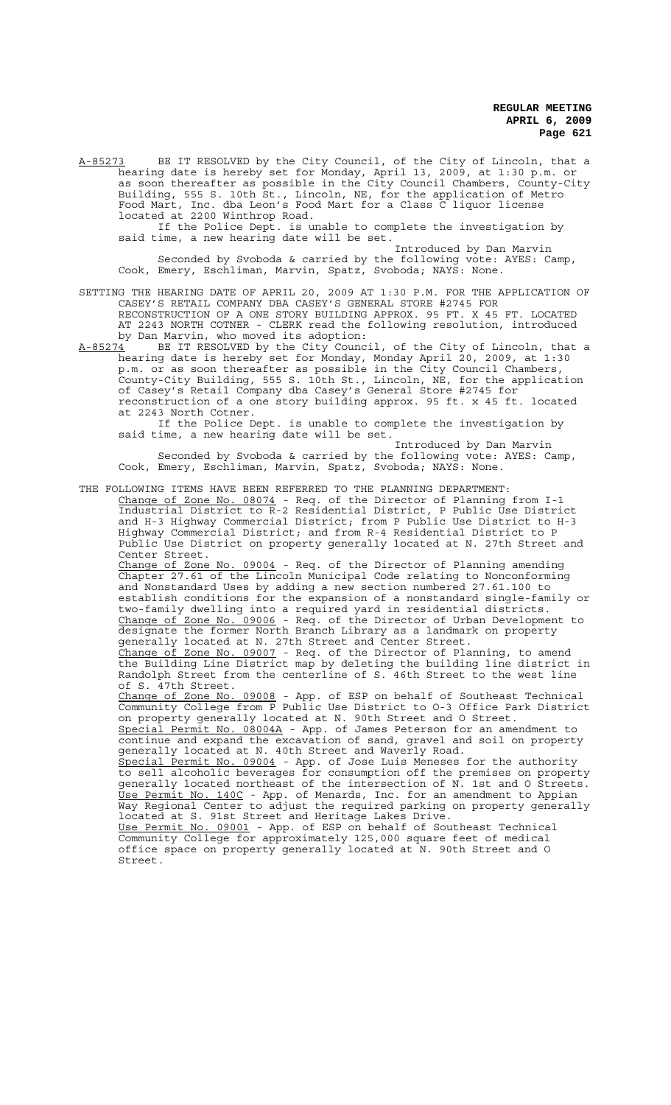A-85273 BE IT RESOLVED by the City Council, of the City of Lincoln, that a hearing date is hereby set for Monday, April 13, 2009, at 1:30 p.m. or as soon thereafter as possible in the City Council Chambers, County-City Building, 555 S. 10th St., Lincoln, NE, for the application of Metro Food Mart, Inc. dba Leon's Food Mart for a Class C liquor license located at 2200 Winthrop Road.

If the Police Dept. is unable to complete the investigation by said time, a new hearing date will be set.

Introduced by Dan Marvin Seconded by Svoboda & carried by the following vote: AYES: Camp, Cook, Emery, Eschliman, Marvin, Spatz, Svoboda; NAYS: None.

SETTING THE HEARING DATE OF APRIL 20, 2009 AT 1:30 P.M. FOR THE APPLICATION OF CASEY'S RETAIL COMPANY DBA CASEY'S GENERAL STORE #2745 FOR RECONSTRUCTION OF A ONE STORY BUILDING APPROX. 95 FT. X 45 FT. LOCATED AT 2243 NORTH COTNER - CLERK read the following resolution, introduced by Dan Marvin, who moved its adoption:<br>A-85274 BE IT RESOLVED by the City Counc

 $A-85274$  BE IT RESOLVED by the City Council, of the City of Lincoln, that a hearing date is hereby set for Monday, Monday April 20, 2009, at 1:30 p.m. or as soon thereafter as possible in the City Council Chambers, County-City Building, 555 S. 10th St., Lincoln, NE, for the application of Casey's Retail Company dba Casey's General Store #2745 for reconstruction of a one story building approx. 95 ft. x 45 ft. located at 2243 North Cotner.

If the Police Dept. is unable to complete the investigation by said time, a new hearing date will be set.

Introduced by Dan Marvin Seconded by Svoboda & carried by the following vote: AYES: Camp, Cook, Emery, Eschliman, Marvin, Spatz, Svoboda; NAYS: None.

THE FOLLOWING ITEMS HAVE BEEN REFERRED TO THE PLANNING DEPARTMENT: Change of Zone No. 08074 - Req. of the Director of Planning from I-1 Industrial District to R-2 Residential District, P Public Use District and H-3 Highway Commercial District; from P Public Use District to H-3 Highway Commercial District; and from R-4 Residential District to P Public Use District on property generally located at N. 27th Street and Center Street.

Change of Zone No. 09004 - Req. of the Director of Planning amending Chapter 27.61 of the Lincoln Municipal Code relating to Nonconforming and Nonstandard Uses by adding a new section numbered 27.61.100 to establish conditions for the expansion of a nonstandard single-family or two-family dwelling into a required yard in residential districts. Change of Zone No. 09006 - Req. of the Director of Urban Development to designate the former North Branch Library as a landmark on property generally located at N. 27th Street and Center Street. Change of Zone No. 09007 - Req. of the Director of Planning, to amend the Building Line District map by deleting the building line district in Randolph Street from the centerline of S. 46th Street to the west line of S. 47th Street. Change of Zone No. 09008 - App. of ESP on behalf of Southeast Technical Community College from P Public Use District to O-3 Office Park District on property generally located at N. 90th Street and O Street. Special Permit No. 08004A - App. of James Peterson for an amendment to continue and expand the excavation of sand, gravel and soil on property generally located at N. 40th Street and Waverly Road. Special Permit No. 09004 - App. of Jose Luis Meneses for the authority to sell alcoholic beverages for consumption off the premises on property generally located northeast of the intersection of N. 1st and O Streets. Use Permit No. 140C - App. of Menards, Inc. for an amendment to Appian Way Regional Center to adjust the required parking on property generally located at S. 91st Street and Heritage Lakes Drive. Use Permit No. 09001 - App. of ESP on behalf of Southeast Technical Community College for approximately 125,000 square feet of medical office space on property generally located at N. 90th Street and O

Street.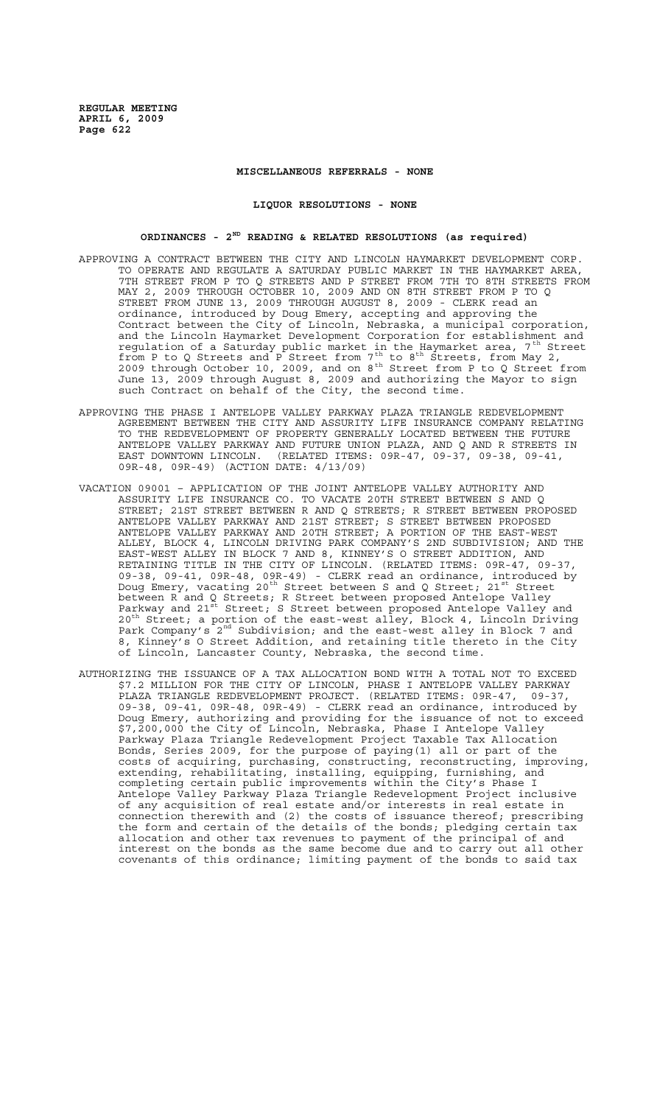### **MISCELLANEOUS REFERRALS - NONE**

#### **LIQUOR RESOLUTIONS - NONE**

# **ORDINANCES - 2ND READING & RELATED RESOLUTIONS (as required)**

- APPROVING A CONTRACT BETWEEN THE CITY AND LINCOLN HAYMARKET DEVELOPMENT CORP. TO OPERATE AND REGULATE A SATURDAY PUBLIC MARKET IN THE HAYMARKET AREA, 7TH STREET FROM P TO Q STREETS AND P STREET FROM 7TH TO 8TH STREETS FROM MAY 2, 2009 THROUGH OCTOBER 10, 2009 AND ON 8TH STREET FROM P TO Q STREET FROM JUNE 13, 2009 THROUGH AUGUST 8, 2009 - CLERK read an ordinance, introduced by Doug Emery, accepting and approving the Contract between the City of Lincoln, Nebraska, a municipal corporation, and the Lincoln Haymarket Development Corporation for establishment and regulation of a Saturday public market in the Haymarket area, 7<sup>th</sup> Street from P to Q Streets and P Street from  $7^{th}$  to  $8^{th}$  Streets, from May 2, 2009 through October 10, 2009, and on 8<sup>th</sup> Street from P to Q Street from June 13, 2009 through August 8, 2009 and authorizing the Mayor to sign such Contract on behalf of the City, the second time.
- APPROVING THE PHASE I ANTELOPE VALLEY PARKWAY PLAZA TRIANGLE REDEVELOPMENT AGREEMENT BETWEEN THE CITY AND ASSURITY LIFE INSURANCE COMPANY RELATING TO THE REDEVELOPMENT OF PROPERTY GENERALLY LOCATED BETWEEN THE FUTURE ANTELOPE VALLEY PARKWAY AND FUTURE UNION PLAZA, AND Q AND R STREETS IN EAST DOWNTOWN LINCOLN. (RELATED ITEMS: 09R-47, 09-37, 09-38, 09-41, 09R-48, 09R-49) (ACTION DATE: 4/13/09)
- VACATION 09001 APPLICATION OF THE JOINT ANTELOPE VALLEY AUTHORITY AND ASSURITY LIFE INSURANCE CO. TO VACATE 20TH STREET BETWEEN S AND Q STREET; 21ST STREET BETWEEN R AND Q STREETS; R STREET BETWEEN PROPOSED ANTELOPE VALLEY PARKWAY AND 21ST STREET; S STREET BETWEEN PROPOSED ANTELOPE VALLEY PARKWAY AND 20TH STREET; A PORTION OF THE EAST-WEST ALLEY, BLOCK 4, LINCOLN DRIVING PARK COMPANY'S 2ND SUBDIVISION; AND THE EAST-WEST ALLEY IN BLOCK 7 AND 8, KINNEY'S O STREET ADDITION, AND RETAINING TITLE IN THE CITY OF LINCOLN. (RELATED ITEMS: 09R-47, 09-37, 09-38, 09-41, 09R-48, 09R-49) - CLERK read an ordinance, introduced by Doug Emery, vacating 20<sup>th</sup> Street between S and Q Street; 21<sup>st</sup> Street between R and Q Streets; R Street between proposed Antelope Valley Parkway and 21st Street; S Street between proposed Antelope Valley and 20<sup>th</sup> Street; a portion of the east-west alley, Block 4, Lincoln Driving Park Company's 2<sup>nd</sup> Subdivision; and the east-west alley in Block 7 and 8, Kinney's O Street Addition, and retaining title thereto in the City of Lincoln, Lancaster County, Nebraska, the second time.
- AUTHORIZING THE ISSUANCE OF A TAX ALLOCATION BOND WITH A TOTAL NOT TO EXCEED \$7.2 MILLION FOR THE CITY OF LINCOLN, PHASE I ANTELOPE VALLEY PARKWAY PLAZA TRIANGLE REDEVELOPMENT PROJECT. (RELATED ITEMS: 09R-47, 09-37, 09-38, 09-41, 09R-48, 09R-49) - CLERK read an ordinance, introduced by Doug Emery, authorizing and providing for the issuance of not to exceed \$7,200,000 the City of Lincoln, Nebraska, Phase I Antelope Valley Parkway Plaza Triangle Redevelopment Project Taxable Tax Allocation Bonds, Series 2009, for the purpose of paying(1) all or part of the costs of acquiring, purchasing, constructing, reconstructing, improving, extending, rehabilitating, installing, equipping, furnishing, and completing certain public improvements within the City's Phase I Antelope Valley Parkway Plaza Triangle Redevelopment Project inclusive of any acquisition of real estate and/or interests in real estate in connection therewith and (2) the costs of issuance thereof; prescribing the form and certain of the details of the bonds; pledging certain tax allocation and other tax revenues to payment of the principal of and interest on the bonds as the same become due and to carry out all other covenants of this ordinance; limiting payment of the bonds to said tax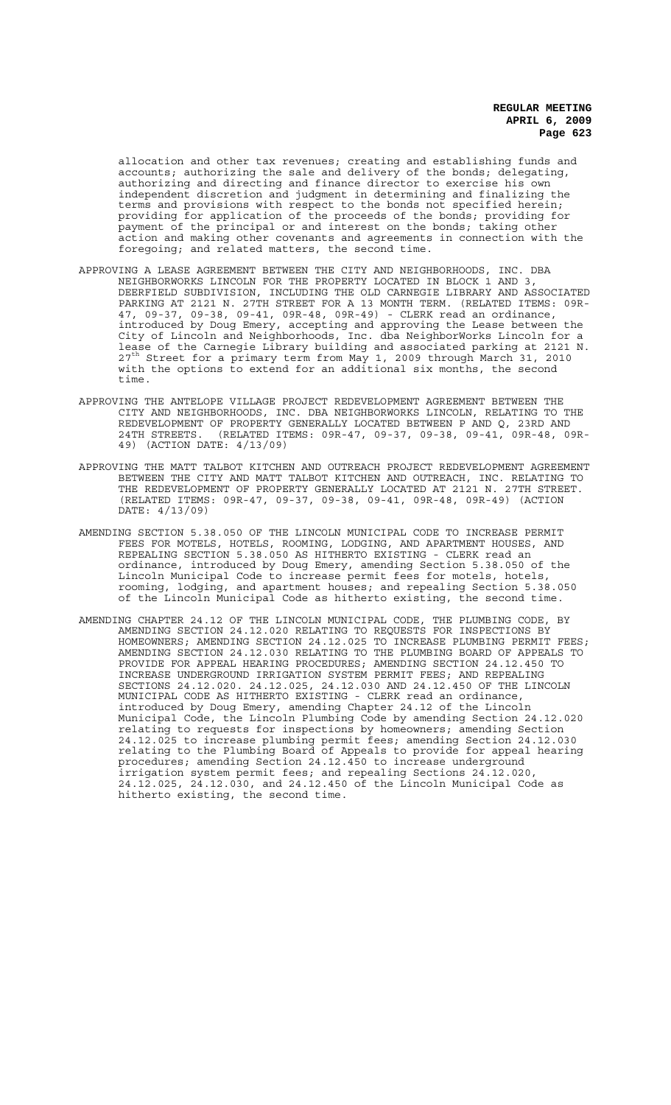allocation and other tax revenues; creating and establishing funds and accounts; authorizing the sale and delivery of the bonds; delegating, authorizing and directing and finance director to exercise his own independent discretion and judgment in determining and finalizing the terms and provisions with respect to the bonds not specified herein; providing for application of the proceeds of the bonds; providing for payment of the principal or and interest on the bonds; taking other action and making other covenants and agreements in connection with the foregoing; and related matters, the second time.

- APPROVING A LEASE AGREEMENT BETWEEN THE CITY AND NEIGHBORHOODS, INC. DBA NEIGHBORWORKS LINCOLN FOR THE PROPERTY LOCATED IN BLOCK 1 AND 3, DEERFIELD SUBDIVISION, INCLUDING THE OLD CARNEGIE LIBRARY AND ASSOCIATED PARKING AT 2121 N. 27TH STREET FOR A 13 MONTH TERM. (RELATED ITEMS: 09R-47, 09-37, 09-38, 09-41, 09R-48, 09R-49) - CLERK read an ordinance, introduced by Doug Emery, accepting and approving the Lease between the City of Lincoln and Neighborhoods, Inc. dba NeighborWorks Lincoln for a lease of the Carnegie Library building and associated parking at 2121 N. 27<sup>th</sup> Street for a primary term from May 1, 2009 through March 31, 2010 with the options to extend for an additional six months, the second time.
- APPROVING THE ANTELOPE VILLAGE PROJECT REDEVELOPMENT AGREEMENT BETWEEN THE CITY AND NEIGHBORHOODS, INC. DBA NEIGHBORWORKS LINCOLN, RELATING TO THE REDEVELOPMENT OF PROPERTY GENERALLY LOCATED BETWEEN P AND Q, 23RD AND 24TH STREETS. (RELATED ITEMS: 09R-47, 09-37, 09-38, 09-41, 09R-48, 09R-49) (ACTION DATE: 4/13/09)
- APPROVING THE MATT TALBOT KITCHEN AND OUTREACH PROJECT REDEVELOPMENT AGREEMENT BETWEEN THE CITY AND MATT TALBOT KITCHEN AND OUTREACH, INC. RELATING TO THE REDEVELOPMENT OF PROPERTY GENERALLY LOCATED AT 2121 N. 27TH STREET. (RELATED ITEMS: 09R-47, 09-37, 09-38, 09-41, 09R-48, 09R-49) (ACTION DATE: 4/13/09)
- AMENDING SECTION 5.38.050 OF THE LINCOLN MUNICIPAL CODE TO INCREASE PERMIT FEES FOR MOTELS, HOTELS, ROOMING, LODGING, AND APARTMENT HOUSES, AND REPEALING SECTION 5.38.050 AS HITHERTO EXISTING - CLERK read an ordinance, introduced by Doug Emery, amending Section 5.38.050 of the Lincoln Municipal Code to increase permit fees for motels, hotels, rooming, lodging, and apartment houses; and repealing Section 5.38.050 of the Lincoln Municipal Code as hitherto existing, the second time.
- AMENDING CHAPTER 24.12 OF THE LINCOLN MUNICIPAL CODE, THE PLUMBING CODE, BY AMENDING SECTION 24.12.020 RELATING TO REQUESTS FOR INSPECTIONS BY HOMEOWNERS; AMENDING SECTION 24.12.025 TO INCREASE PLUMBING PERMIT FEES; AMENDING SECTION 24.12.030 RELATING TO THE PLUMBING BOARD OF APPEALS TO PROVIDE FOR APPEAL HEARING PROCEDURES; AMENDING SECTION 24.12.450 TO INCREASE UNDERGROUND IRRIGATION SYSTEM PERMIT FEES; AND REPEALING SECTIONS 24.12.020. 24.12.025, 24.12.030 AND 24.12.450 OF THE LINCOLN MUNICIPAL CODE AS HITHERTO EXISTING - CLERK read an ordinance, introduced by Doug Emery, amending Chapter 24.12 of the Lincoln Municipal Code, the Lincoln Plumbing Code by amending Section 24.12.020 relating to requests for inspections by homeowners; amending Section 24.12.025 to increase plumbing permit fees; amending Section 24.12.030 relating to the Plumbing Board of Appeals to provide for appeal hearing procedures; amending Section 24.12.450 to increase underground irrigation system permit fees; and repealing Sections 24.12.020, 24.12.025, 24.12.030, and 24.12.450 of the Lincoln Municipal Code as hitherto existing, the second time.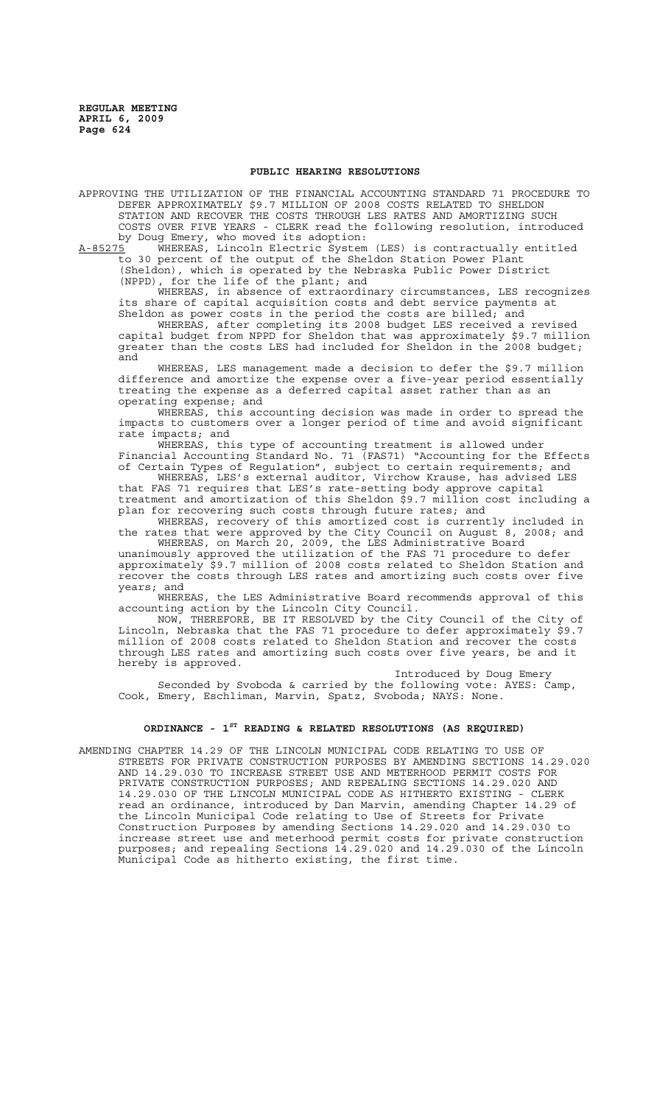## **PUBLIC HEARING RESOLUTIONS**

APPROVING THE UTILIZATION OF THE FINANCIAL ACCOUNTING STANDARD 71 PROCEDURE TO DEFER APPROXIMATELY \$9.7 MILLION OF 2008 COSTS RELATED TO SHELDON STATION AND RECOVER THE COSTS THROUGH LES RATES AND AMORTIZING SUCH COSTS OVER FIVE YEARS - CLERK read the following resolution, introduced by Doug Emery, who moved its adoption:

A-85275 WHEREAS, Lincoln Electric System (LES) is contractually entitled to 30 percent of the output of the Sheldon Station Power Plant (Sheldon), which is operated by the Nebraska Public Power District

(NPPD), for the life of the plant; and

WHEREAS, in absence of extraordinary circumstances, LES recognizes its share of capital acquisition costs and debt service payments at Sheldon as power costs in the period the costs are billed; and

WHEREAS, after completing its 2008 budget LES received a revised capital budget from NPPD for Sheldon that was approximately \$9.7 million greater than the costs LES had included for Sheldon in the 2008 budget; and

WHEREAS, LES management made a decision to defer the \$9.7 million difference and amortize the expense over a five-year period essentially treating the expense as a deferred capital asset rather than as an operating expense; and

WHEREAS, this accounting decision was made in order to spread the impacts to customers over a longer period of time and avoid significant rate impacts; and

WHEREAS, this type of accounting treatment is allowed under Financial Accounting Standard No. 71 (FAS71) "Accounting for the Effects of Certain Types of Regulation", subject to certain requirements; and

WHEREAS, LES's external auditor, Virchow Krause, has advised LES that FAS 71 requires that LES's rate-setting body approve capital treatment and amortization of this Sheldon \$9.7 million cost including a plan for recovering such costs through future rates; and

WHEREAS, recovery of this amortized cost is currently included in the rates that were approved by the City Council on August 8, 2008; and WHEREAS, on March 20, 2009, the LES Administrative Board

unanimously approved the utilization of the FAS 71 procedure to defer approximately \$9.7 million of 2008 costs related to Sheldon Station and recover the costs through LES rates and amortizing such costs over five years; and

WHEREAS, the LES Administrative Board recommends approval of this accounting action by the Lincoln City Council.

NOW, THEREFORE, BE IT RESOLVED by the City Council of the City of Lincoln, Nebraska that the FAS 71 procedure to defer approximately \$9.7 million of 2008 costs related to Sheldon Station and recover the costs through LES rates and amortizing such costs over five years, be and it hereby is approved.

Introduced by Doug Emery Seconded by Svoboda & carried by the following vote: AYES: Camp, Cook, Emery, Eschliman, Marvin, Spatz, Svoboda; NAYS: None.

# **ORDINANCE - 1ST READING & RELATED RESOLUTIONS (AS REQUIRED)**

AMENDING CHAPTER 14.29 OF THE LINCOLN MUNICIPAL CODE RELATING TO USE OF STREETS FOR PRIVATE CONSTRUCTION PURPOSES BY AMENDING SECTIONS 14.29.020 AND 14.29.030 TO INCREASE STREET USE AND METERHOOD PERMIT COSTS FOR PRIVATE CONSTRUCTION PURPOSES; AND REPEALING SECTIONS 14.29.020 AND 14.29.030 OF THE LINCOLN MUNICIPAL CODE AS HITHERTO EXISTING - CLERK read an ordinance, introduced by Dan Marvin, amending Chapter 14.29 of the Lincoln Municipal Code relating to Use of Streets for Private Construction Purposes by amending Sections 14.29.020 and 14.29.030 to increase street use and meterhood permit costs for private construction purposes; and repealing Sections 14.29.020 and 14.29.030 of the Lincoln Municipal Code as hitherto existing, the first time.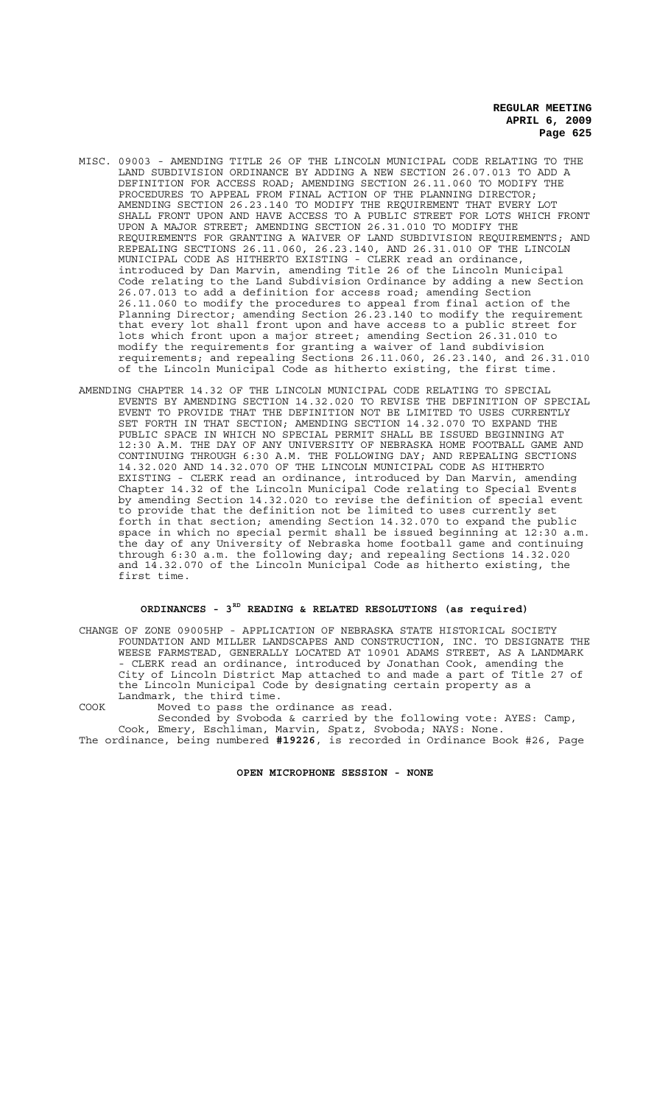- MISC. 09003 AMENDING TITLE 26 OF THE LINCOLN MUNICIPAL CODE RELATING TO THE LAND SUBDIVISION ORDINANCE BY ADDING A NEW SECTION 26.07.013 TO ADD A DEFINITION FOR ACCESS ROAD; AMENDING SECTION 26.11.060 TO MODIFY THE PROCEDURES TO APPEAL FROM FINAL ACTION OF THE PLANNING DIRECTOR; AMENDING SECTION 26.23.140 TO MODIFY THE REQUIREMENT THAT EVERY LOT SHALL FRONT UPON AND HAVE ACCESS TO A PUBLIC STREET FOR LOTS WHICH FRONT UPON A MAJOR STREET; AMENDING SECTION 26.31.010 TO MODIFY THE REQUIREMENTS FOR GRANTING A WAIVER OF LAND SUBDIVISION REQUIREMENTS; AND REPEALING SECTIONS 26.11.060, 26.23.140, AND 26.31.010 OF THE LINCOLN MUNICIPAL CODE AS HITHERTO EXISTING - CLERK read an ordinance, introduced by Dan Marvin, amending Title 26 of the Lincoln Municipal Code relating to the Land Subdivision Ordinance by adding a new Section 26.07.013 to add a definition for access road; amending Section 26.11.060 to modify the procedures to appeal from final action of the Planning Director; amending Section 26.23.140 to modify the requirement that every lot shall front upon and have access to a public street for lots which front upon a major street; amending Section 26.31.010 to modify the requirements for granting a waiver of land subdivision requirements; and repealing Sections 26.11.060, 26.23.140, and 26.31.010 of the Lincoln Municipal Code as hitherto existing, the first time.
- AMENDING CHAPTER 14.32 OF THE LINCOLN MUNICIPAL CODE RELATING TO SPECIAL EVENTS BY AMENDING SECTION 14.32.020 TO REVISE THE DEFINITION OF SPECIAL EVENT TO PROVIDE THAT THE DEFINITION NOT BE LIMITED TO USES CURRENTLY SET FORTH IN THAT SECTION; AMENDING SECTION 14.32.070 TO EXPAND THE PUBLIC SPACE IN WHICH NO SPECIAL PERMIT SHALL BE ISSUED BEGINNING AT 12:30 A.M. THE DAY OF ANY UNIVERSITY OF NEBRASKA HOME FOOTBALL GAME AND CONTINUING THROUGH 6:30 A.M. THE FOLLOWING DAY; AND REPEALING SECTIONS 14.32.020 AND 14.32.070 OF THE LINCOLN MUNICIPAL CODE AS HITHERTO EXISTING - CLERK read an ordinance, introduced by Dan Marvin, amending Chapter 14.32 of the Lincoln Municipal Code relating to Special Events by amending Section 14.32.020 to revise the definition of special event to provide that the definition not be limited to uses currently set forth in that section; amending Section 14.32.070 to expand the public space in which no special permit shall be issued beginning at 12:30 a.m. the day of any University of Nebraska home football game and continuing through 6:30 a.m. the following day; and repealing Sections 14.32.020 and 14.32.070 of the Lincoln Municipal Code as hitherto existing, the first time.

# **ORDINANCES - 3RD READING & RELATED RESOLUTIONS (as required)**

CHANGE OF ZONE 09005HP - APPLICATION OF NEBRASKA STATE HISTORICAL SOCIETY FOUNDATION AND MILLER LANDSCAPES AND CONSTRUCTION, INC. TO DESIGNATE THE WEESE FARMSTEAD, GENERALLY LOCATED AT 10901 ADAMS STREET, AS A LANDMARK - CLERK read an ordinance, introduced by Jonathan Cook, amending the City of Lincoln District Map attached to and made a part of Title 27 of the Lincoln Municipal Code by designating certain property as a Landmark, the third time.

COOK Moved to pass the ordinance as read.

Seconded by Svoboda & carried by the following vote: AYES: Camp, Cook, Emery, Eschliman, Marvin, Spatz, Svoboda; NAYS: None. The ordinance, being numbered **#19226**, is recorded in Ordinance Book #26, Page

**OPEN MICROPHONE SESSION - NONE**